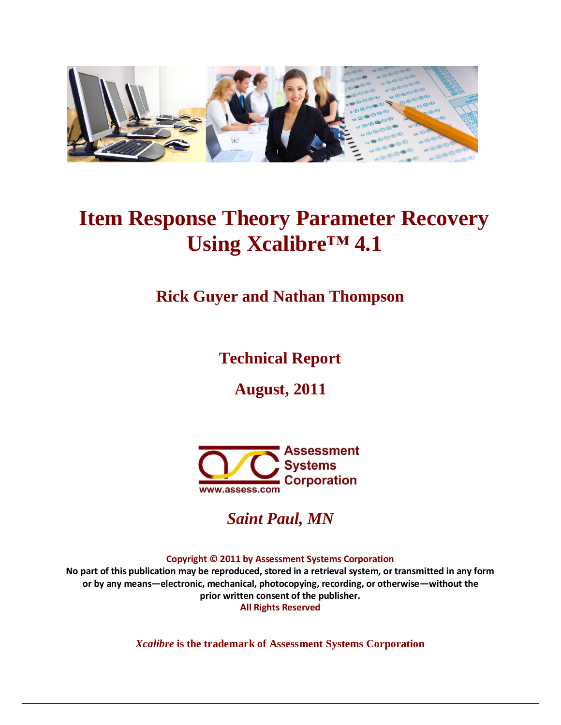

# **Item Response Theory Parameter Recovery Using Xcalibre™ 4.1**

**Rick Guyer and Nathan Thompson**

**Technical Report**

**August, 2011**



*Saint Paul, MN*

**Copyright © 2011 by Assessment Systems Corporation** 

**No part of this publication may be reproduced, stored in a retrieval system, or transmitted in any form or by any means—electronic, mechanical, photocopying, recording, or otherwise—without the prior written consent of the publisher. All Rights Reserved** 

*Xcalibre* **is the trademark of Assessment Systems Corporation**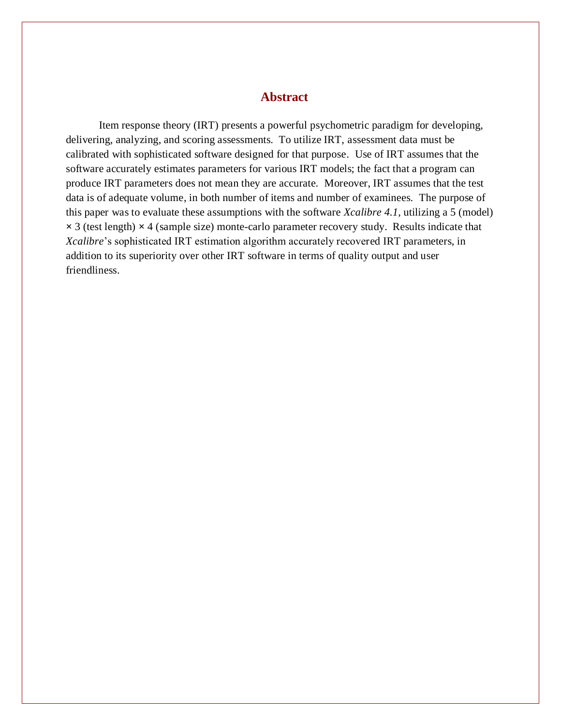## **Abstract**

Item response theory (IRT) presents a powerful psychometric paradigm for developing, delivering, analyzing, and scoring assessments. To utilize IRT, assessment data must be calibrated with sophisticated software designed for that purpose. Use of IRT assumes that the software accurately estimates parameters for various IRT models; the fact that a program can produce IRT parameters does not mean they are accurate. Moreover, IRT assumes that the test data is of adequate volume, in both number of items and number of examinees. The purpose of this paper was to evaluate these assumptions with the software *Xcalibre 4.1*, utilizing a 5 (model) **×** 3 (test length) **×** 4 (sample size) monte-carlo parameter recovery study. Results indicate that *Xcalibre*'s sophisticated IRT estimation algorithm accurately recovered IRT parameters, in addition to its superiority over other IRT software in terms of quality output and user friendliness.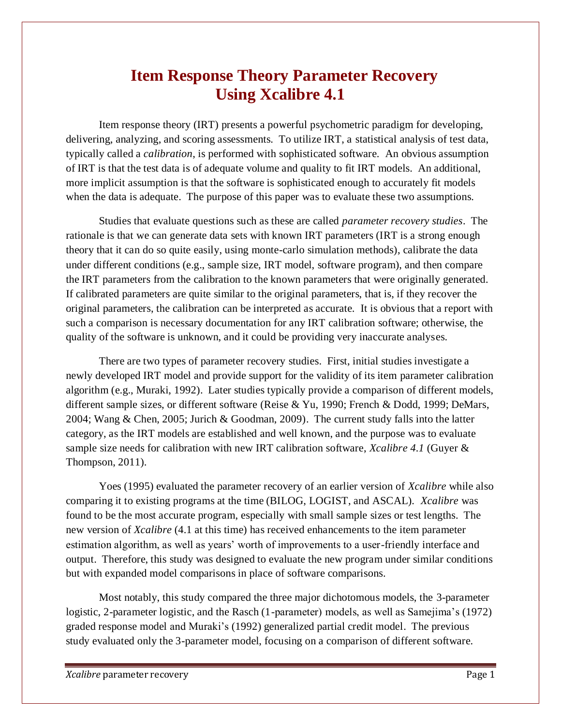# **Item Response Theory Parameter Recovery Using Xcalibre 4.1**

Item response theory (IRT) presents a powerful psychometric paradigm for developing, delivering, analyzing, and scoring assessments. To utilize IRT, a statistical analysis of test data, typically called a *calibration*, is performed with sophisticated software. An obvious assumption of IRT is that the test data is of adequate volume and quality to fit IRT models. An additional, more implicit assumption is that the software is sophisticated enough to accurately fit models when the data is adequate. The purpose of this paper was to evaluate these two assumptions.

Studies that evaluate questions such as these are called *parameter recovery studies*. The rationale is that we can generate data sets with known IRT parameters (IRT is a strong enough theory that it can do so quite easily, using monte-carlo simulation methods), calibrate the data under different conditions (e.g., sample size, IRT model, software program), and then compare the IRT parameters from the calibration to the known parameters that were originally generated. If calibrated parameters are quite similar to the original parameters, that is, if they recover the original parameters, the calibration can be interpreted as accurate. It is obvious that a report with such a comparison is necessary documentation for any IRT calibration software; otherwise, the quality of the software is unknown, and it could be providing very inaccurate analyses.

There are two types of parameter recovery studies. First, initial studies investigate a newly developed IRT model and provide support for the validity of its item parameter calibration algorithm (e.g., Muraki, 1992). Later studies typically provide a comparison of different models, different sample sizes, or different software (Reise & Yu, 1990; French & Dodd, 1999; DeMars, 2004; Wang & Chen, 2005; Jurich & Goodman, 2009). The current study falls into the latter category, as the IRT models are established and well known, and the purpose was to evaluate sample size needs for calibration with new IRT calibration software, *Xcalibre 4.1* (Guyer & Thompson, 2011).

Yoes (1995) evaluated the parameter recovery of an earlier version of *Xcalibre* while also comparing it to existing programs at the time (BILOG, LOGIST, and ASCAL). *Xcalibre* was found to be the most accurate program, especially with small sample sizes or test lengths. The new version of *Xcalibre* (4.1 at this time) has received enhancements to the item parameter estimation algorithm, as well as years' worth of improvements to a user-friendly interface and output. Therefore, this study was designed to evaluate the new program under similar conditions but with expanded model comparisons in place of software comparisons.

Most notably, this study compared the three major dichotomous models, the 3-parameter logistic, 2-parameter logistic, and the Rasch (1-parameter) models, as well as Samejima's (1972) graded response model and Muraki's (1992) generalized partial credit model. The previous study evaluated only the 3-parameter model, focusing on a comparison of different software.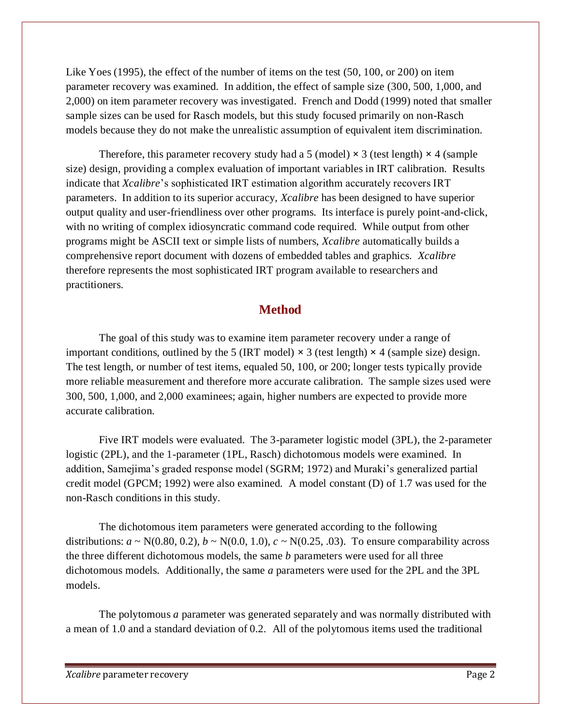Like Yoes (1995), the effect of the number of items on the test (50, 100, or 200) on item parameter recovery was examined. In addition, the effect of sample size (300, 500, 1,000, and 2,000) on item parameter recovery was investigated. French and Dodd (1999) noted that smaller sample sizes can be used for Rasch models, but this study focused primarily on non-Rasch models because they do not make the unrealistic assumption of equivalent item discrimination.

Therefore, this parameter recovery study had a 5 (model)  $\times$  3 (test length)  $\times$  4 (sample size) design, providing a complex evaluation of important variables in IRT calibration. Results indicate that *Xcalibre*'s sophisticated IRT estimation algorithm accurately recovers IRT parameters. In addition to its superior accuracy, *Xcalibre* has been designed to have superior output quality and user-friendliness over other programs. Its interface is purely point-and-click, with no writing of complex idiosyncratic command code required. While output from other programs might be ASCII text or simple lists of numbers, *Xcalibre* automatically builds a comprehensive report document with dozens of embedded tables and graphics. *Xcalibre* therefore represents the most sophisticated IRT program available to researchers and practitioners.

# **Method**

The goal of this study was to examine item parameter recovery under a range of important conditions, outlined by the 5 (IRT model)  $\times$  3 (test length)  $\times$  4 (sample size) design. The test length, or number of test items, equaled 50, 100, or 200; longer tests typically provide more reliable measurement and therefore more accurate calibration. The sample sizes used were 300, 500, 1,000, and 2,000 examinees; again, higher numbers are expected to provide more accurate calibration.

Five IRT models were evaluated. The 3-parameter logistic model (3PL), the 2-parameter logistic (2PL), and the 1-parameter (1PL, Rasch) dichotomous models were examined. In addition, Samejima's graded response model (SGRM; 1972) and Muraki's generalized partial credit model (GPCM; 1992) were also examined. A model constant (D) of 1.7 was used for the non-Rasch conditions in this study.

The dichotomous item parameters were generated according to the following distributions:  $a \sim N(0.80, 0.2), b \sim N(0.0, 1.0), c \sim N(0.25, .03)$ . To ensure comparability across the three different dichotomous models, the same *b* parameters were used for all three dichotomous models. Additionally, the same *a* parameters were used for the 2PL and the 3PL models.

The polytomous *a* parameter was generated separately and was normally distributed with a mean of 1.0 and a standard deviation of 0.2. All of the polytomous items used the traditional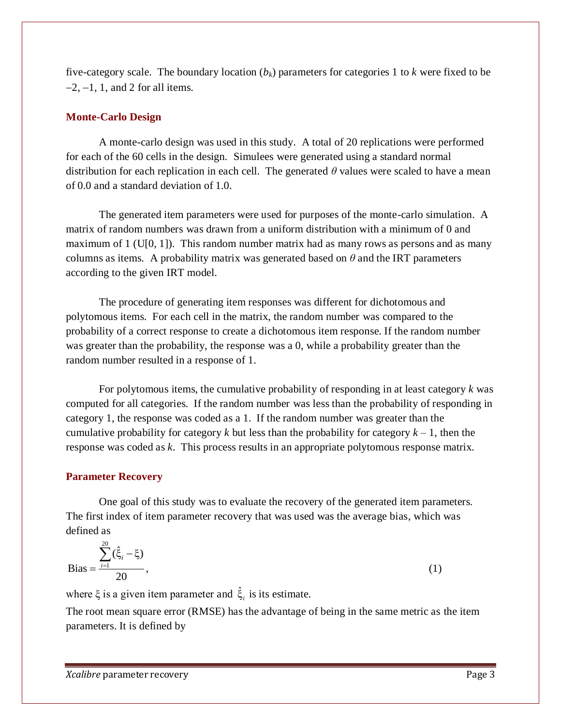five-category scale. The boundary location  $(b_k)$  parameters for categories 1 to  $k$  were fixed to be  $-2$ ,  $-1$ , 1, and 2 for all items.

#### **Monte-Carlo Design**

A monte-carlo design was used in this study. A total of 20 replications were performed for each of the 60 cells in the design. Simulees were generated using a standard normal distribution for each replication in each cell. The generated *θ* values were scaled to have a mean of 0.0 and a standard deviation of 1.0.

The generated item parameters were used for purposes of the monte-carlo simulation. A matrix of random numbers was drawn from a uniform distribution with a minimum of 0 and maximum of 1 (U[0, 1]). This random number matrix had as many rows as persons and as many columns as items. A probability matrix was generated based on  $\theta$  and the IRT parameters according to the given IRT model.

The procedure of generating item responses was different for dichotomous and polytomous items. For each cell in the matrix, the random number was compared to the probability of a correct response to create a dichotomous item response. If the random number was greater than the probability, the response was a 0, while a probability greater than the random number resulted in a response of 1.

For polytomous items, the cumulative probability of responding in at least category *k* was computed for all categories. If the random number was less than the probability of responding in category 1, the response was coded as a 1. If the random number was greater than the cumulative probability for category  $k$  but less than the probability for category  $k - 1$ , then the response was coded as *k*. This process results in an appropriate polytomous response matrix.

#### **Parameter Recovery**

One goal of this study was to evaluate the recovery of the generated item parameters. The first index of item parameter recovery that was used was the average bias, which was defined as

Bias = 
$$
\frac{\sum_{i=1}^{20} (\hat{\xi}_i - \xi)}{20},
$$
 (1)

where  $\xi$  is a given item parameter and  $\hat{\xi}_i$  is its estimate.

The root mean square error (RMSE) has the advantage of being in the same metric as the item parameters. It is defined by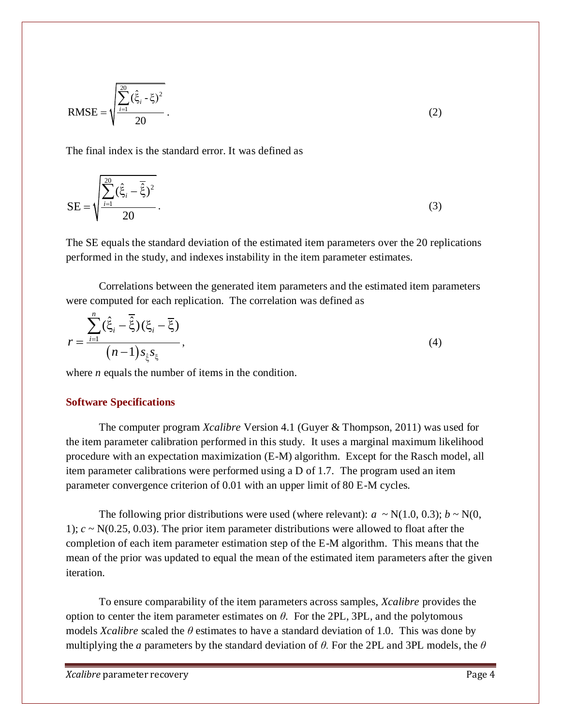RMSE = 
$$
\sqrt{\frac{\sum_{i=1}^{20} (\hat{\xi}_i - \xi)^2}{20}}
$$
 (2)

The final index is the standard error. It was defined as

$$
SE = \sqrt{\frac{\sum_{i=1}^{20} (\hat{\xi}_i - \overline{\hat{\xi}})^2}{20}}.
$$
\n(3)

The SE equals the standard deviation of the estimated item parameters over the 20 replications performed in the study, and indexes instability in the item parameter estimates.

Correlations between the generated item parameters and the estimated item parameters were computed for each replication. The correlation was defined as

$$
r = \frac{\sum_{i=1}^{n} (\hat{\xi}_i - \overline{\hat{\xi}})(\xi_i - \overline{\xi})}{(n-1) s_{\hat{\xi}} s_{\xi}},
$$
\n(4)

where *n* equals the number of items in the condition.

#### **Software Specifications**

The computer program *Xcalibre* Version 4.1 (Guyer & Thompson, 2011) was used for the item parameter calibration performed in this study. It uses a marginal maximum likelihood procedure with an expectation maximization (E-M) algorithm. Except for the Rasch model, all item parameter calibrations were performed using a D of 1.7. The program used an item parameter convergence criterion of 0.01 with an upper limit of 80 E-M cycles.

The following prior distributions were used (where relevant):  $a \sim N(1.0, 0.3)$ ;  $b \sim N(0, 1.0)$ 1);  $c \sim N(0.25, 0.03)$ . The prior item parameter distributions were allowed to float after the completion of each item parameter estimation step of the E-M algorithm. This means that the mean of the prior was updated to equal the mean of the estimated item parameters after the given iteration.

To ensure comparability of the item parameters across samples, *Xcalibre* provides the option to center the item parameter estimates on  $\theta$ . For the 2PL, 3PL, and the polytomous models *Xcalibre* scaled the *θ* estimates to have a standard deviation of 1.0. This was done by multiplying the *a* parameters by the standard deviation of *θ.* For the 2PL and 3PL models, the *θ*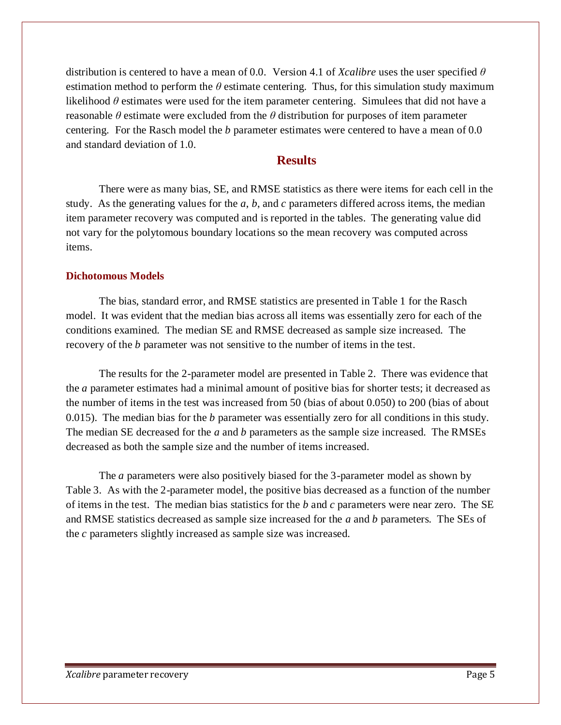distribution is centered to have a mean of 0.0. Version 4.1 of *Xcalibre* uses the user specified *θ*  estimation method to perform the  $\theta$  estimate centering. Thus, for this simulation study maximum likelihood  $\theta$  estimates were used for the item parameter centering. Simulees that did not have a reasonable *θ* estimate were excluded from the *θ* distribution for purposes of item parameter centering. For the Rasch model the *b* parameter estimates were centered to have a mean of 0.0 and standard deviation of 1.0.

# **Results**

There were as many bias, SE, and RMSE statistics as there were items for each cell in the study. As the generating values for the *a*, *b*, and *c* parameters differed across items, the median item parameter recovery was computed and is reported in the tables. The generating value did not vary for the polytomous boundary locations so the mean recovery was computed across items.

#### **Dichotomous Models**

The bias, standard error, and RMSE statistics are presented in Table 1 for the Rasch model. It was evident that the median bias across all items was essentially zero for each of the conditions examined. The median SE and RMSE decreased as sample size increased. The recovery of the *b* parameter was not sensitive to the number of items in the test.

The results for the 2-parameter model are presented in Table 2. There was evidence that the *a* parameter estimates had a minimal amount of positive bias for shorter tests; it decreased as the number of items in the test was increased from 50 (bias of about 0.050) to 200 (bias of about 0.015). The median bias for the *b* parameter was essentially zero for all conditions in this study. The median SE decreased for the *a* and *b* parameters as the sample size increased. The RMSEs decreased as both the sample size and the number of items increased.

The *a* parameters were also positively biased for the 3-parameter model as shown by Table 3. As with the 2-parameter model, the positive bias decreased as a function of the number of items in the test. The median bias statistics for the *b* and *c* parameters were near zero. The SE and RMSE statistics decreased as sample size increased for the *a* and *b* parameters. The SEs of the *c* parameters slightly increased as sample size was increased.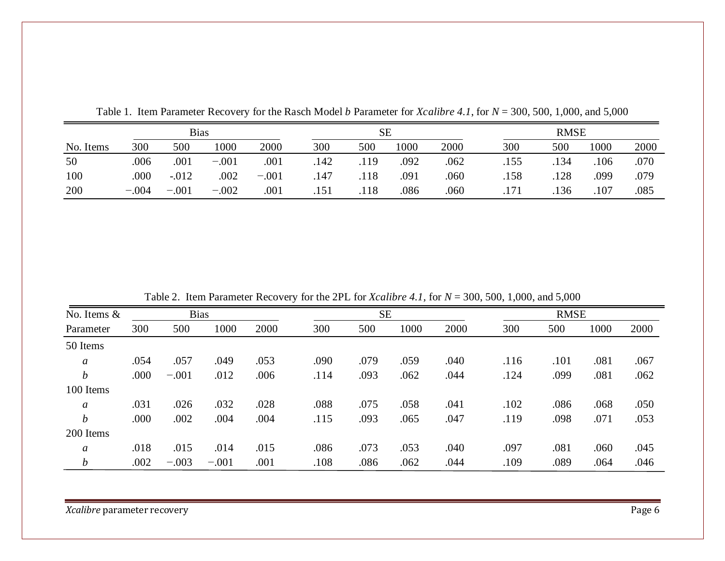|           | <b>Bias</b> |          |         |         | SЕ   |      |      |      | <b>RMSE</b> |      |      |      |
|-----------|-------------|----------|---------|---------|------|------|------|------|-------------|------|------|------|
| No. Items | 300         | 500      | 1000    | 2000    | 300  | 500  | 1000 | 2000 | 300         | 500  | 1000 | 2000 |
| 50        | .006        | .001     | $-.001$ | .001    | .142 | .119 | .092 | .062 | .155        | .134 | .106 | .070 |
| 100       | .000        | $-0.012$ | .002    | $-.001$ | .147 | .118 | .091 | .060 | .158        | .128 | .099 | .079 |
| 200       | $-.004$     | $-.001$  | $-.002$ | .001    | .151 | .118 | .086 | .060 | .171        | .136 | .107 | .085 |

Table 1. Item Parameter Recovery for the Rasch Model *b* Parameter for *Xcalibre 4.1*, for *N* = 300, 500, 1,000, and 5,000

Table 2. Item Parameter Recovery for the 2PL for *Xcalibre 4.1,* for *N* = 300, 500, 1,000, and 5,000

| No. Items &<br>Parameter |      | <b>Bias</b> |         |      | <b>SE</b> |      |      |      | <b>RMSE</b> |      |      |      |
|--------------------------|------|-------------|---------|------|-----------|------|------|------|-------------|------|------|------|
|                          | 300  | 500         | 1000    | 2000 | 300       | 500  | 1000 | 2000 | 300         | 500  | 1000 | 2000 |
| 50 Items                 |      |             |         |      |           |      |      |      |             |      |      |      |
| $\boldsymbol{a}$         | .054 | .057        | .049    | .053 | .090      | .079 | .059 | .040 | .116        | .101 | .081 | .067 |
| $\boldsymbol{b}$         | .000 | $-.001$     | .012    | .006 | .114      | .093 | .062 | .044 | .124        | .099 | .081 | .062 |
| 100 Items                |      |             |         |      |           |      |      |      |             |      |      |      |
| $\mathfrak a$            | .031 | .026        | .032    | .028 | .088      | .075 | .058 | .041 | .102        | .086 | .068 | .050 |
| $\boldsymbol{b}$         | .000 | .002        | .004    | .004 | .115      | .093 | .065 | .047 | .119        | .098 | .071 | .053 |
| 200 Items                |      |             |         |      |           |      |      |      |             |      |      |      |
| a                        | .018 | .015        | .014    | .015 | .086      | .073 | .053 | .040 | .097        | .081 | .060 | .045 |
| $\boldsymbol{b}$         | .002 | $-.003$     | $-.001$ | .001 | .108      | .086 | .062 | .044 | .109        | .089 | .064 | .046 |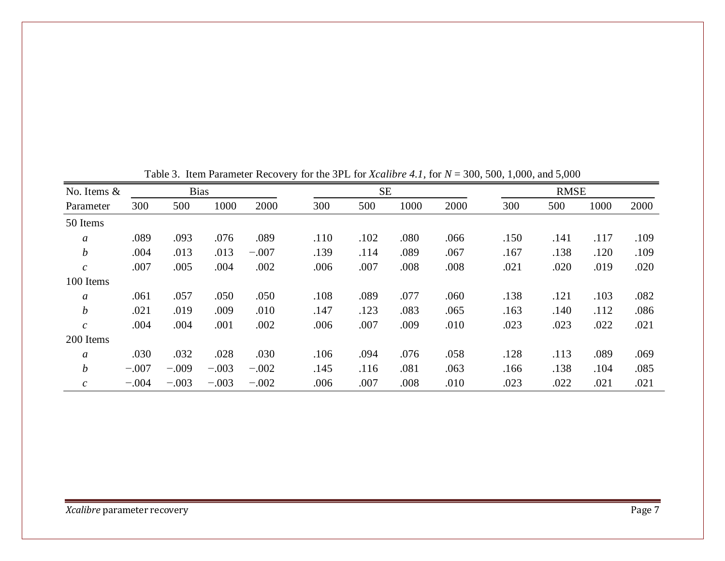| No. Items &                 |         | <b>Bias</b> |         |         |      | <b>SE</b> |      |      | <b>RMSE</b> |      |      |      |
|-----------------------------|---------|-------------|---------|---------|------|-----------|------|------|-------------|------|------|------|
| Parameter                   | 300     | 500         | 1000    | 2000    | 300  | 500       | 1000 | 2000 | 300         | 500  | 1000 | 2000 |
| 50 Items                    |         |             |         |         |      |           |      |      |             |      |      |      |
| $\mathfrak a$               | .089    | .093        | .076    | .089    | .110 | .102      | .080 | .066 | .150        | .141 | .117 | .109 |
| $\boldsymbol{b}$            | .004    | .013        | .013    | $-.007$ | .139 | .114      | .089 | .067 | .167        | .138 | .120 | .109 |
| $\mathcal{C}_{\mathcal{C}}$ | .007    | .005        | .004    | .002    | .006 | .007      | .008 | .008 | .021        | .020 | .019 | .020 |
| 100 Items                   |         |             |         |         |      |           |      |      |             |      |      |      |
| $\boldsymbol{a}$            | .061    | .057        | .050    | .050    | .108 | .089      | .077 | .060 | .138        | .121 | .103 | .082 |
| $\boldsymbol{b}$            | .021    | .019        | .009    | .010    | .147 | .123      | .083 | .065 | .163        | .140 | .112 | .086 |
| $\mathcal{C}_{\mathcal{C}}$ | .004    | .004        | .001    | .002    | .006 | .007      | .009 | .010 | .023        | .023 | .022 | .021 |
| 200 Items                   |         |             |         |         |      |           |      |      |             |      |      |      |
| $\mathfrak a$               | .030    | .032        | .028    | .030    | .106 | .094      | .076 | .058 | .128        | .113 | .089 | .069 |
| $\boldsymbol{b}$            | $-.007$ | $-.009$     | $-.003$ | $-.002$ | .145 | .116      | .081 | .063 | .166        | .138 | .104 | .085 |
| $\mathcal{C}_{\mathcal{C}}$ | $-.004$ | $-.003$     | $-.003$ | $-.002$ | .006 | .007      | .008 | .010 | .023        | .022 | .021 | .021 |

Table 3. Item Parameter Recovery for the 3PL for *Xcalibre 4.1,* for *N* = 300, 500, 1,000, and 5,000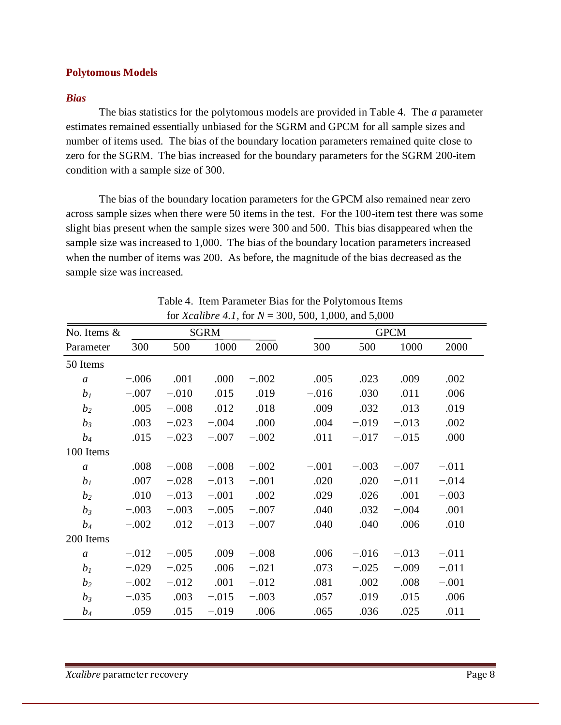#### **Polytomous Models**

#### *Bias*

The bias statistics for the polytomous models are provided in Table 4. The *a* parameter estimates remained essentially unbiased for the SGRM and GPCM for all sample sizes and number of items used. The bias of the boundary location parameters remained quite close to zero for the SGRM. The bias increased for the boundary parameters for the SGRM 200-item condition with a sample size of 300.

The bias of the boundary location parameters for the GPCM also remained near zero across sample sizes when there were 50 items in the test. For the 100-item test there was some slight bias present when the sample sizes were 300 and 500. This bias disappeared when the sample size was increased to 1,000. The bias of the boundary location parameters increased when the number of items was 200. As before, the magnitude of the bias decreased as the sample size was increased.

| No. Items &    |         |         | <b>SGRM</b> |         |         |         | <b>GPCM</b> |         |
|----------------|---------|---------|-------------|---------|---------|---------|-------------|---------|
| Parameter      | 300     | 500     | 1000        | 2000    | 300     | 500     | 1000        | 2000    |
| 50 Items       |         |         |             |         |         |         |             |         |
| $\mathfrak{a}$ | $-.006$ | .001    | .000        | $-.002$ | .005    | .023    | .009        | .002    |
| b <sub>I</sub> | $-.007$ | $-.010$ | .015        | .019    | $-.016$ | .030    | .011        | .006    |
| b <sub>2</sub> | .005    | $-.008$ | .012        | .018    | .009    | .032    | .013        | .019    |
| $b_3$          | .003    | $-.023$ | $-.004$     | .000    | .004    | $-.019$ | $-.013$     | .002    |
| $b_4$          | .015    | $-.023$ | $-.007$     | $-.002$ | .011    | $-.017$ | $-.015$     | .000    |
| 100 Items      |         |         |             |         |         |         |             |         |
| $\mathfrak{a}$ | .008    | $-.008$ | $-.008$     | $-.002$ | $-.001$ | $-.003$ | $-.007$     | $-.011$ |
| b <sub>I</sub> | .007    | $-.028$ | $-.013$     | $-.001$ | .020    | .020    | $-.011$     | $-.014$ |
| b <sub>2</sub> | .010    | $-.013$ | $-.001$     | .002    | .029    | .026    | .001        | $-.003$ |
| $b_3$          | $-.003$ | $-.003$ | $-.005$     | $-.007$ | .040    | .032    | $-.004$     | .001    |
| $b_4$          | $-.002$ | .012    | $-.013$     | $-.007$ | .040    | .040    | .006        | .010    |
| 200 Items      |         |         |             |         |         |         |             |         |
| $\mathfrak{a}$ | $-.012$ | $-.005$ | .009        | $-.008$ | .006    | $-.016$ | $-.013$     | $-.011$ |
| b <sub>I</sub> | $-.029$ | $-.025$ | .006        | $-.021$ | .073    | $-.025$ | $-.009$     | $-.011$ |
| b <sub>2</sub> | $-.002$ | $-.012$ | .001        | $-.012$ | .081    | .002    | .008        | $-.001$ |
| $b_3$          | $-.035$ | .003    | $-.015$     | $-.003$ | .057    | .019    | .015        | .006    |
| $b_4$          | .059    | .015    | $-.019$     | .006    | .065    | .036    | .025        | .011    |

Table 4. Item Parameter Bias for the Polytomous Items for *Xcalibre 4.1,* for *N* = 300, 500, 1,000, and 5,000

*Xcalibre* parameter recovery **Page 8**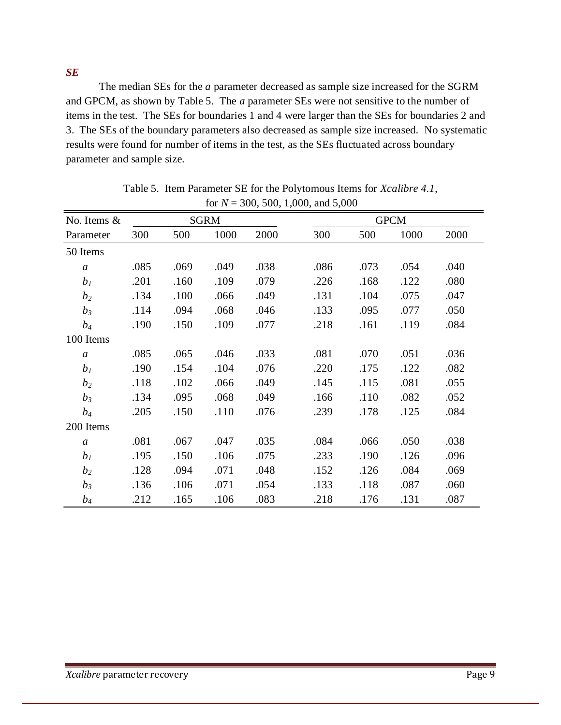*SE*

The median SEs for the *a* parameter decreased as sample size increased for the SGRM and GPCM, as shown by Table 5. The *a* parameter SEs were not sensitive to the number of items in the test. The SEs for boundaries 1 and 4 were larger than the SEs for boundaries 2 and 3. The SEs of the boundary parameters also decreased as sample size increased. No systematic results were found for number of items in the test, as the SEs fluctuated across boundary parameter and sample size.

|                  |      |      |             |      | 101 $N = 300, 300, 1,000,$ and $3,000$ |      |             |      |
|------------------|------|------|-------------|------|----------------------------------------|------|-------------|------|
| No. Items $\&$   |      |      | <b>SGRM</b> |      |                                        |      | <b>GPCM</b> |      |
| Parameter        | 300  | 500  | 1000        | 2000 | 300                                    | 500  | 1000        | 2000 |
| 50 Items         |      |      |             |      |                                        |      |             |      |
| $\mathfrak{a}$   | .085 | .069 | .049        | .038 | .086                                   | .073 | .054        | .040 |
| b <sub>1</sub>   | .201 | .160 | .109        | .079 | .226                                   | .168 | .122        | .080 |
| b <sub>2</sub>   | .134 | .100 | .066        | .049 | .131                                   | .104 | .075        | .047 |
| $b_3$            | .114 | .094 | .068        | .046 | .133                                   | .095 | .077        | .050 |
| $b_4$            | .190 | .150 | .109        | .077 | .218                                   | .161 | .119        | .084 |
| 100 Items        |      |      |             |      |                                        |      |             |      |
| $\mathfrak{a}$   | .085 | .065 | .046        | .033 | .081                                   | .070 | .051        | .036 |
| b <sub>I</sub>   | .190 | .154 | .104        | .076 | .220                                   | .175 | .122        | .082 |
| b <sub>2</sub>   | .118 | .102 | .066        | .049 | .145                                   | .115 | .081        | .055 |
| $b_3$            | .134 | .095 | .068        | .049 | .166                                   | .110 | .082        | .052 |
| $b_4$            | .205 | .150 | .110        | .076 | .239                                   | .178 | .125        | .084 |
| 200 Items        |      |      |             |      |                                        |      |             |      |
| $\boldsymbol{a}$ | .081 | .067 | .047        | .035 | .084                                   | .066 | .050        | .038 |
| b <sub>I</sub>   | .195 | .150 | .106        | .075 | .233                                   | .190 | .126        | .096 |
| b <sub>2</sub>   | .128 | .094 | .071        | .048 | .152                                   | .126 | .084        | .069 |
| $b_3$            | .136 | .106 | .071        | .054 | .133                                   | .118 | .087        | .060 |
| $b_4$            | .212 | .165 | .106        | .083 | .218                                   | .176 | .131        | .087 |

Table 5. Item Parameter SE for the Polytomous Items for *Xcalibre 4.1,* for  $N = 300, 500, 1,000,$  and 5,000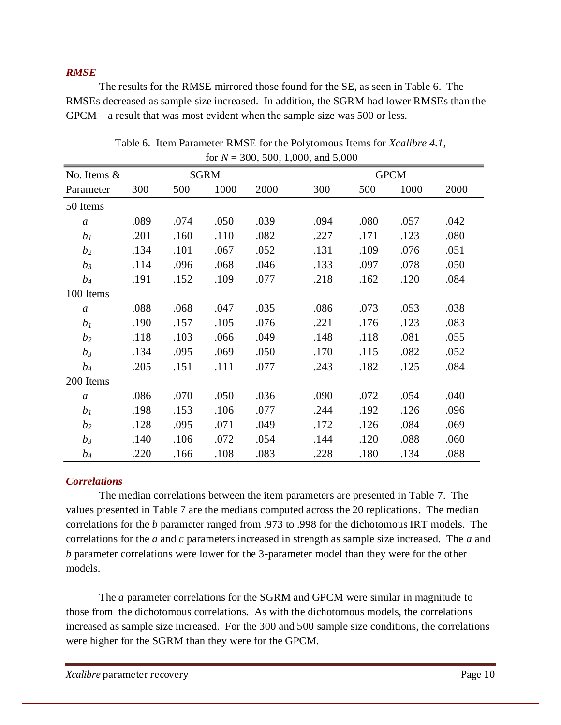#### *RMSE*

The results for the RMSE mirrored those found for the SE, as seen in Table 6. The RMSEs decreased as sample size increased. In addition, the SGRM had lower RMSEs than the GPCM – a result that was most evident when the sample size was 500 or less.

| No. Items &    |      |      | <b>SGRM</b> |      |      |      | <b>GPCM</b> |      |
|----------------|------|------|-------------|------|------|------|-------------|------|
| Parameter      | 300  | 500  | 1000        | 2000 | 300  | 500  | 1000        | 2000 |
| 50 Items       |      |      |             |      |      |      |             |      |
| $\mathfrak a$  | .089 | .074 | .050        | .039 | .094 | .080 | .057        | .042 |
| b <sub>I</sub> | .201 | .160 | .110        | .082 | .227 | .171 | .123        | .080 |
| b <sub>2</sub> | .134 | .101 | .067        | .052 | .131 | .109 | .076        | .051 |
| $b_3$          | .114 | .096 | .068        | .046 | .133 | .097 | .078        | .050 |
| $b_4$          | .191 | .152 | .109        | .077 | .218 | .162 | .120        | .084 |
| 100 Items      |      |      |             |      |      |      |             |      |
| $\mathfrak{a}$ | .088 | .068 | .047        | .035 | .086 | .073 | .053        | .038 |
| b <sub>I</sub> | .190 | .157 | .105        | .076 | .221 | .176 | .123        | .083 |
| b <sub>2</sub> | .118 | .103 | .066        | .049 | .148 | .118 | .081        | .055 |
| $b_3$          | .134 | .095 | .069        | .050 | .170 | .115 | .082        | .052 |
| $b_4$          | .205 | .151 | .111        | .077 | .243 | .182 | .125        | .084 |
| 200 Items      |      |      |             |      |      |      |             |      |
| $\mathfrak{a}$ | .086 | .070 | .050        | .036 | .090 | .072 | .054        | .040 |
| b <sub>I</sub> | .198 | .153 | .106        | .077 | .244 | .192 | .126        | .096 |
| b <sub>2</sub> | .128 | .095 | .071        | .049 | .172 | .126 | .084        | .069 |
| $b_3$          | .140 | .106 | .072        | .054 | .144 | .120 | .088        | .060 |
| $b_4$          | .220 | .166 | .108        | .083 | .228 | .180 | .134        | .088 |

Table 6. Item Parameter RMSE for the Polytomous Items for *Xcalibre 4.1,* for  $N = 300, 500, 1,000,$  and  $5,000$ 

# *Correlations*

The median correlations between the item parameters are presented in Table 7. The values presented in Table 7 are the medians computed across the 20 replications. The median correlations for the *b* parameter ranged from .973 to .998 for the dichotomous IRT models. The correlations for the *a* and *c* parameters increased in strength as sample size increased. The *a* and *b* parameter correlations were lower for the 3-parameter model than they were for the other models.

The *a* parameter correlations for the SGRM and GPCM were similar in magnitude to those from the dichotomous correlations. As with the dichotomous models, the correlations increased as sample size increased. For the 300 and 500 sample size conditions, the correlations were higher for the SGRM than they were for the GPCM.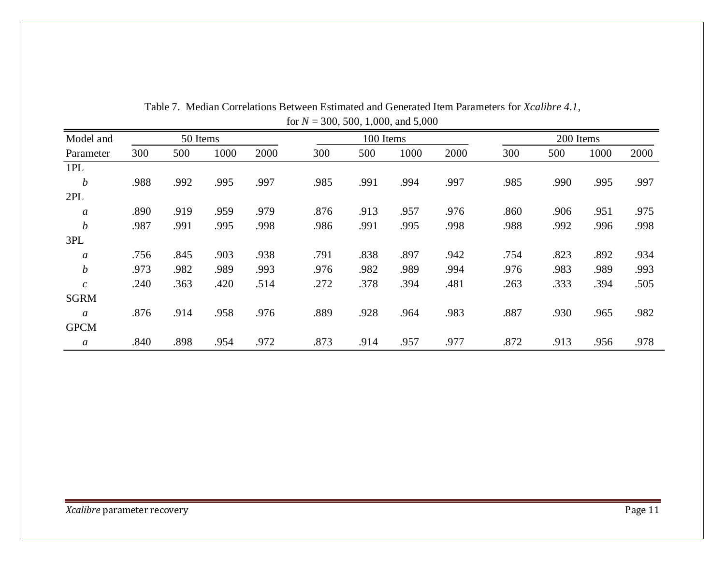| Model and                   |      | 50 Items |      |      |      | 100 Items |      |      |      | 200 Items |      |      |
|-----------------------------|------|----------|------|------|------|-----------|------|------|------|-----------|------|------|
| Parameter                   | 300  | 500      | 1000 | 2000 | 300  | 500       | 1000 | 2000 | 300  | 500       | 1000 | 2000 |
| 1PL                         |      |          |      |      |      |           |      |      |      |           |      |      |
| $\boldsymbol{b}$            | .988 | .992     | .995 | .997 | .985 | .991      | .994 | .997 | .985 | .990      | .995 | .997 |
| 2PL                         |      |          |      |      |      |           |      |      |      |           |      |      |
| $\boldsymbol{a}$            | .890 | .919     | .959 | .979 | .876 | .913      | .957 | .976 | .860 | .906      | .951 | .975 |
| $\boldsymbol{b}$            | .987 | .991     | .995 | .998 | .986 | .991      | .995 | .998 | .988 | .992      | .996 | .998 |
| 3PL                         |      |          |      |      |      |           |      |      |      |           |      |      |
| $\boldsymbol{a}$            | .756 | .845     | .903 | .938 | .791 | .838      | .897 | .942 | .754 | .823      | .892 | .934 |
| $\boldsymbol{b}$            | .973 | .982     | .989 | .993 | .976 | .982      | .989 | .994 | .976 | .983      | .989 | .993 |
| $\mathcal{C}_{\mathcal{C}}$ | .240 | .363     | .420 | .514 | .272 | .378      | .394 | .481 | .263 | .333      | .394 | .505 |
| <b>SGRM</b>                 |      |          |      |      |      |           |      |      |      |           |      |      |
| $\mathfrak{a}$              | .876 | .914     | .958 | .976 | .889 | .928      | .964 | .983 | .887 | .930      | .965 | .982 |
| <b>GPCM</b>                 |      |          |      |      |      |           |      |      |      |           |      |      |
| $\boldsymbol{a}$            | .840 | .898     | .954 | .972 | .873 | .914      | .957 | .977 | .872 | .913      | .956 | .978 |

Table 7. Median Correlations Between Estimated and Generated Item Parameters for *Xcalibre 4.1,*  for *N* = 300, 500, 1,000, and 5,000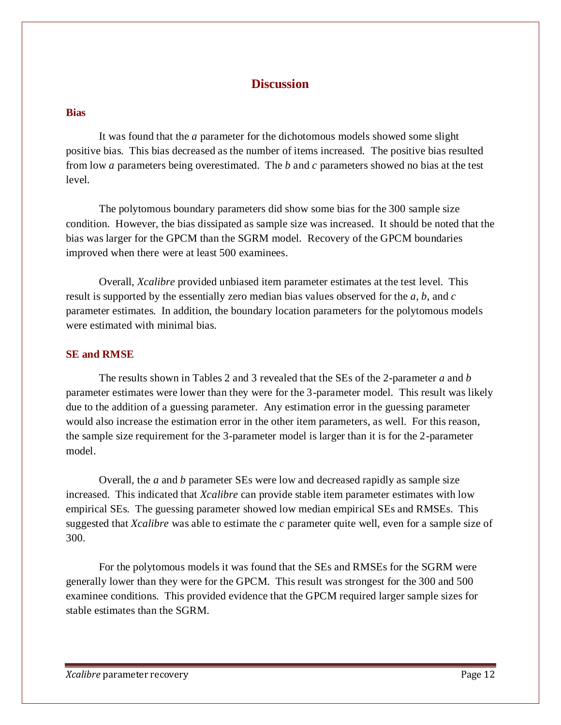# **Discussion**

# **Bias**

It was found that the *a* parameter for the dichotomous models showed some slight positive bias. This bias decreased as the number of items increased. The positive bias resulted from low *a* parameters being overestimated. The *b* and *c* parameters showed no bias at the test level.

The polytomous boundary parameters did show some bias for the 300 sample size condition. However, the bias dissipated as sample size was increased. It should be noted that the bias was larger for the GPCM than the SGRM model. Recovery of the GPCM boundaries improved when there were at least 500 examinees.

Overall, *Xcalibre* provided unbiased item parameter estimates at the test level. This result is supported by the essentially zero median bias values observed for the *a*, *b*, and *c* parameter estimates. In addition, the boundary location parameters for the polytomous models were estimated with minimal bias.

#### **SE and RMSE**

The results shown in Tables 2 and 3 revealed that the SEs of the 2-parameter *a* and *b* parameter estimates were lower than they were for the 3-parameter model. This result was likely due to the addition of a guessing parameter. Any estimation error in the guessing parameter would also increase the estimation error in the other item parameters, as well. For this reason, the sample size requirement for the 3-parameter model is larger than it is for the 2-parameter model.

Overall, the *a* and *b* parameter SEs were low and decreased rapidly as sample size increased. This indicated that *Xcalibre* can provide stable item parameter estimates with low empirical SEs. The guessing parameter showed low median empirical SEs and RMSEs. This suggested that *Xcalibre* was able to estimate the *c* parameter quite well, even for a sample size of 300.

For the polytomous models it was found that the SEs and RMSEs for the SGRM were generally lower than they were for the GPCM. This result was strongest for the 300 and 500 examinee conditions. This provided evidence that the GPCM required larger sample sizes for stable estimates than the SGRM.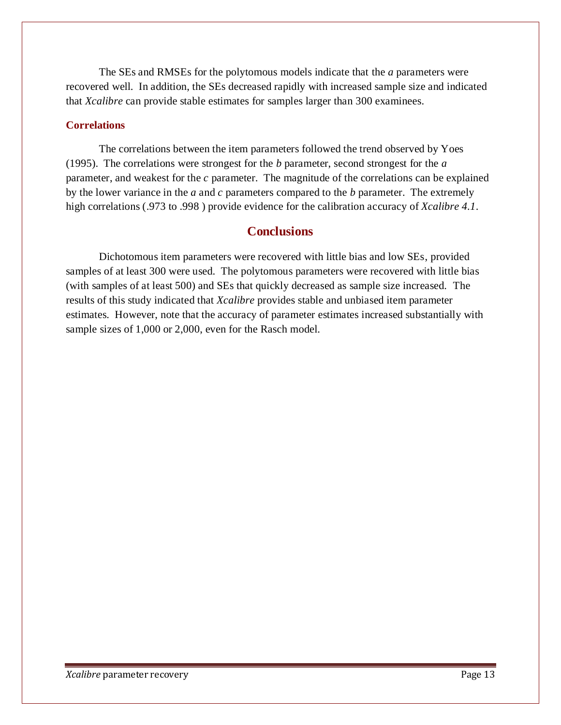The SEs and RMSEs for the polytomous models indicate that the *a* parameters were recovered well. In addition, the SEs decreased rapidly with increased sample size and indicated that *Xcalibre* can provide stable estimates for samples larger than 300 examinees.

#### **Correlations**

The correlations between the item parameters followed the trend observed by Yoes (1995). The correlations were strongest for the *b* parameter, second strongest for the *a* parameter, and weakest for the *c* parameter. The magnitude of the correlations can be explained by the lower variance in the *a* and *c* parameters compared to the *b* parameter. The extremely high correlations (.973 to .998 ) provide evidence for the calibration accuracy of *Xcalibre 4.1*.

# **Conclusions**

Dichotomous item parameters were recovered with little bias and low SEs, provided samples of at least 300 were used. The polytomous parameters were recovered with little bias (with samples of at least 500) and SEs that quickly decreased as sample size increased. The results of this study indicated that *Xcalibre* provides stable and unbiased item parameter estimates. However, note that the accuracy of parameter estimates increased substantially with sample sizes of 1,000 or 2,000, even for the Rasch model.